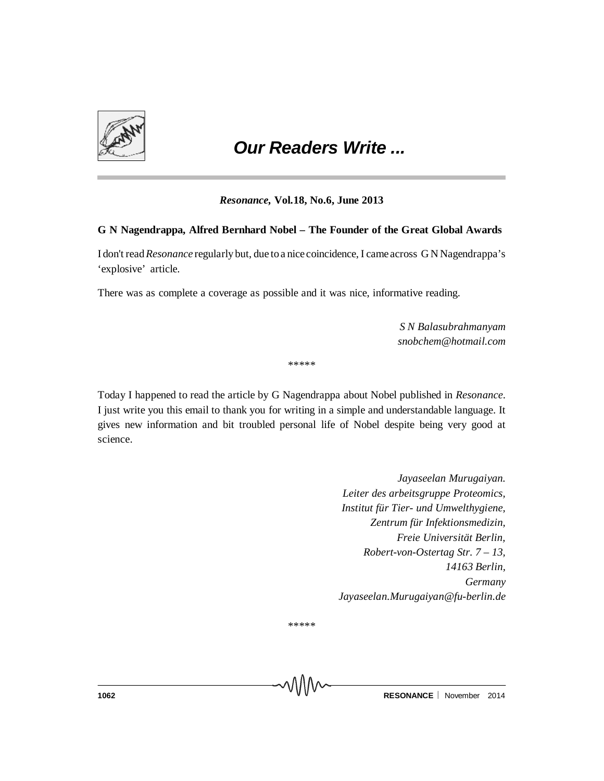

# *Our Readers Write ...*

## *Resonance,* **Vol.18, No.6, June 2013**

## **G N Nagendrappa, Alfred Bernhard Nobel – The Founder of the Great Global Awards**

I don't read*Resonance* regularly but, due to a nicecoincidence, I cameacross G N Nagendrappa's 'explosive' article.

There was as complete a coverage as possible and it was nice, informative reading.

*S N Balasubrahmanyam snobchem@hotmail.com*

\*\*\*\*\*

Today I happened to read the article by G Nagendrappa about Nobel published in *Resonance*. I just write you this email to thank you for writing in a simple and understandable language. It gives new information and bit troubled personal life of Nobel despite being very good at science.

> *Jayaseelan Murugaiyan. Leiter des arbeitsgruppe Proteomics, Institut für Tier- und Umwelthygiene, Zentrum für Infektionsmedizin, Freie Universität Berlin, Robert-von-Ostertag Str. 7 – 13, 14163 Berlin, Germany Jayaseelan.Murugaiyan@fu-berlin.de*

\*\*\*\*\*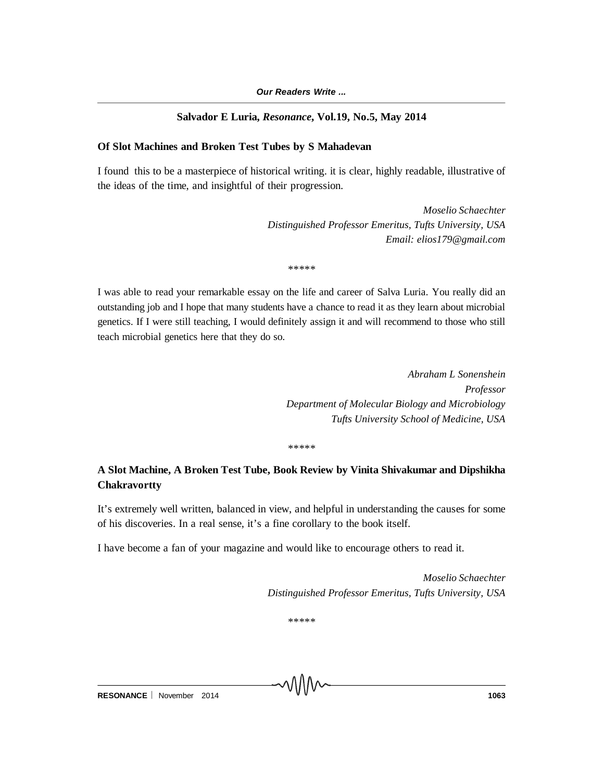## **Salvador E Luria,** *Resonance***, Vol.19, No.5, May 2014**

# **Of Slot Machines and Broken Test Tubes by S Mahadevan**

I found this to be a masterpiece of historical writing. it is clear, highly readable, illustrative of the ideas of the time, and insightful of their progression.

> *Moselio Schaechter Distinguished Professor Emeritus, Tufts University, USA Email: elios179@gmail.com*

\*\*\*\*\*

I was able to read your remarkable essay on the life and career of Salva Luria. You really did an outstanding job and I hope that many students have a chance to read it as they learn about microbial genetics. If I were still teaching, I would definitely assign it and will recommend to those who still teach microbial genetics here that they do so.

> *Abraham L Sonenshein Professor Department of Molecular Biology and Microbiology Tufts University School of Medicine, USA*

\*\*\*\*\*

# **A Slot Machine, A Broken Test Tube, Book Review by Vinita Shivakumar and Dipshikha Chakravortty**

It's extremely well written, balanced in view, and helpful in understanding the causes for some of his discoveries. In a real sense, it's a fine corollary to the book itself.

I have become a fan of your magazine and would like to encourage others to read it.

*Moselio Schaechter Distinguished Professor Emeritus, Tufts University, USA*

\*\*\*\*\*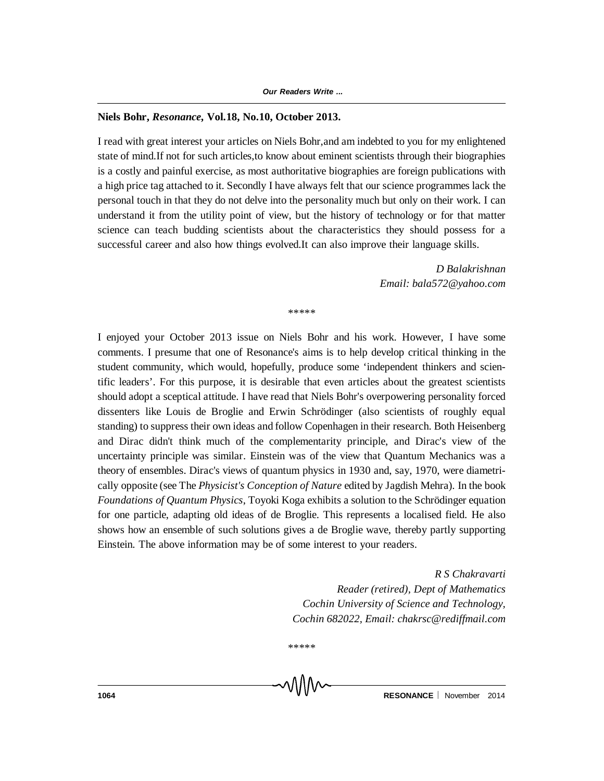#### **Niels Bohr,** *Resonance,* **Vol.18, No.10, October 2013.**

I read with great interest your articles on Niels Bohr,and am indebted to you for my enlightened state of mind.If not for such articles,to know about eminent scientists through their biographies is a costly and painful exercise, as most authoritative biographies are foreign publications with a high price tag attached to it. Secondly I have always felt that our science programmes lack the personal touch in that they do not delve into the personality much but only on their work. I can understand it from the utility point of view, but the history of technology or for that matter science can teach budding scientists about the characteristics they should possess for a successful career and also how things evolved.It can also improve their language skills.

> *D Balakrishnan Email: bala572@yahoo.com*

\*\*\*\*\*

I enjoyed your October 2013 issue on Niels Bohr and his work. However, I have some comments. I presume that one of Resonance's aims is to help develop critical thinking in the student community, which would, hopefully, produce some 'independent thinkers and scientific leaders'. For this purpose, it is desirable that even articles about the greatest scientists should adopt a sceptical attitude. I have read that Niels Bohr's overpowering personality forced dissenters like Louis de Broglie and Erwin Schrödinger (also scientists of roughly equal standing) to suppress their own ideas and follow Copenhagen in their research. Both Heisenberg and Dirac didn't think much of the complementarity principle, and Dirac's view of the uncertainty principle was similar. Einstein was of the view that Quantum Mechanics was a theory of ensembles. Dirac's views of quantum physics in 1930 and, say, 1970, were diametrically opposite (see The *Physicist's Conception of Nature* edited by Jagdish Mehra). In the book *Foundations of Quantum Physics*, Toyoki Koga exhibits a solution to the Schrödinger equation for one particle, adapting old ideas of de Broglie. This represents a localised field. He also shows how an ensemble of such solutions gives a de Broglie wave, thereby partly supporting Einstein. The above information may be of some interest to your readers.

> *R S Chakravarti Reader (retired), Dept of Mathematics Cochin University of Science and Technology, Cochin 682022, Email: chakrsc@rediffmail.com*

\*\*\*\*\*